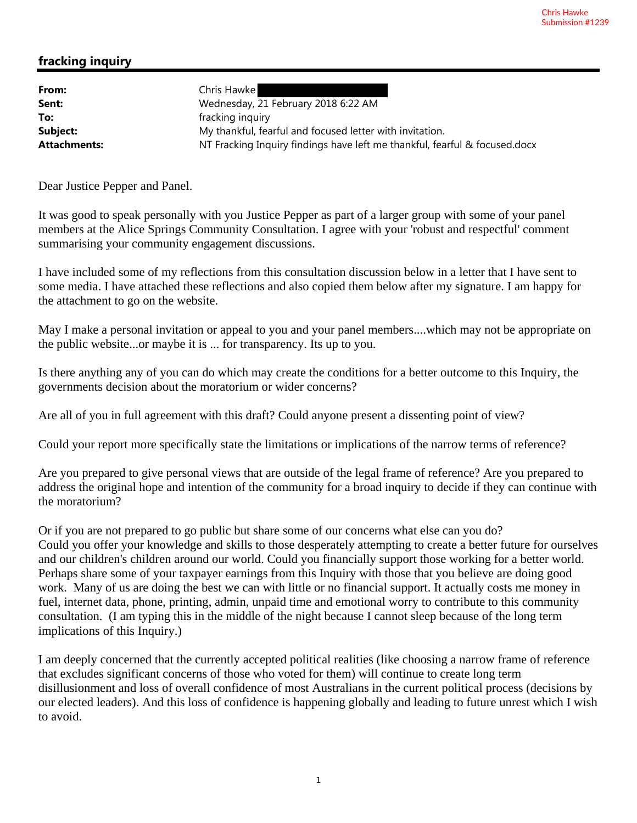## **fracking inquiry**

| From:               | Chris Hawke                                                                |
|---------------------|----------------------------------------------------------------------------|
| Sent:               | Wednesday, 21 February 2018 6:22 AM                                        |
| To:                 | fracking inquiry                                                           |
| Subject:            | My thankful, fearful and focused letter with invitation.                   |
| <b>Attachments:</b> | NT Fracking Inquiry findings have left me thankful, fearful & focused.docx |

Dear Justice Pepper and Panel.

It was good to speak personally with you Justice Pepper as part of a larger group with some of your panel members at the Alice Springs Community Consultation. I agree with your 'robust and respectful' comment summarising your community engagement discussions.

I have included some of my reflections from this consultation discussion below in a letter that I have sent to some media. I have attached these reflections and also copied them below after my signature. I am happy for the attachment to go on the website.

May I make a personal invitation or appeal to you and your panel members....which may not be appropriate on the public website...or maybe it is ... for transparency. Its up to you.

Is there anything any of you can do which may create the conditions for a better outcome to this Inquiry, the governments decision about the moratorium or wider concerns?

Are all of you in full agreement with this draft? Could anyone present a dissenting point of view?

Could your report more specifically state the limitations or implications of the narrow terms of reference?

Are you prepared to give personal views that are outside of the legal frame of reference? Are you prepared to address the original hope and intention of the community for a broad inquiry to decide if they can continue with the moratorium?

Or if you are not prepared to go public but share some of our concerns what else can you do? Could you offer your knowledge and skills to those desperately attempting to create a better future for ourselves and our children's children around our world. Could you financially support those working for a better world. Perhaps share some of your taxpayer earnings from this Inquiry with those that you believe are doing good work. Many of us are doing the best we can with little or no financial support. It actually costs me money in fuel, internet data, phone, printing, admin, unpaid time and emotional worry to contribute to this community consultation. (I am typing this in the middle of the night because I cannot sleep because of the long term implications of this Inquiry.)

I am deeply concerned that the currently accepted political realities (like choosing a narrow frame of reference that excludes significant concerns of those who voted for them) will continue to create long term disillusionment and loss of overall confidence of most Australians in the current political process (decisions by our elected leaders). And this loss of confidence is happening globally and leading to future unrest which I wish to avoid.